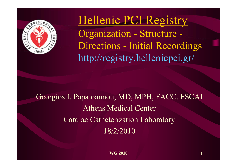

Hellenic PCI Registry Organization - Structure - Directions - Initial Recordings http://registry.hellenicpci.gr/

Georgios I. Papaioannou, MD, MPH, FACC, FSCAI Athens Medical Center Cardiac Catheterization Laboratory 18/2/2010

> **WG 2010** $0 \longrightarrow 1$  , we have a set of  $1$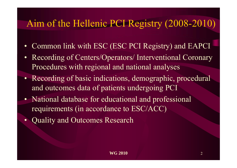## Aim of the Hellenic PCI Registry (2008-2010)

- Common link with ESC (ESC PCI Registry) and EAPCI
- Recording of Centers/Operators/ Interventional Coronary Procedures with regional and national analyses
- Recording of basic indications, demographic, procedural and outcomes data of patients undergoing PCI
- National database for educational and professional requirements (in accordance to ESC/ACC)
- Quality and Outcomes Research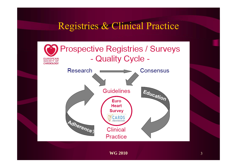### Registries & Clinical Practice



**WG 2010** $\mathbf{0}$  and  $\mathbf{0}$  and  $\mathbf{0}$  and  $\mathbf{0}$  and  $\mathbf{0}$  and  $\mathbf{0}$  and  $\mathbf{0}$  and  $\mathbf{0}$  and  $\mathbf{0}$  and  $\mathbf{0}$  and  $\mathbf{0}$  and  $\mathbf{0}$  and  $\mathbf{0}$  and  $\mathbf{0}$  and  $\mathbf{0}$  and  $\mathbf{0}$  and  $\mathbf{0}$  and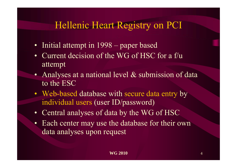### Hellenic Heart Registry on PCI

- Initial attempt in 1998 paper based
- Current decision of the WG of HSC for a f/u attempt
- Analyses at a national level & submission of data to the ESC
- Web-based database with secure data entry by individual users (user ID/password)
- Central analyses of data by the WG of HSC
- • Each center may use the database for their own data analyses upon request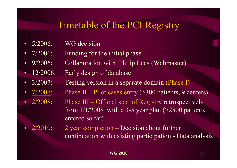### Timetable of the PCI Registry

- $5/2006$ : • 5/2006: WG decision
- •7/2006: Funding for the initial phase
- $\bullet$ 9/2006: Collaboration with Philip Lees (Webmaster)
- •12/2006: Early design of database
- $3/2007$ : Testing version in a separate domain (Phase I)
- ••  $7/2007$ : Phase II – Pilot cases entry (>300 patients, 9 centers)
- $2/2008$ : Phase III Official start of Registry retrospectively from  $1/1/2008$  with a 3-5 year plan (>2500 patients entered so far)
	-

•

 $\bullet$ 

 $010:$  2 year completion – Decision about further continuation with existing participation - Data analysis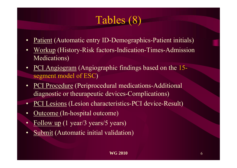# Tables (8)

- $\bullet$ Patient (Automatic entry ID-Demographics-Patient initials)
- • Workup (History-Risk factors-Indication-Times-Admission Medications)
- PCI Angiogram (Angiographic findings based on the 15segment model of ESC)
- PCI Procedure (Periprocedural medications-Additional diagnostic or theurapeutic devices-Complications)
- •• PCI Lesions (Lesion characteristics-PCI device-Result)
- $\bullet$ • Outcome (In-hospital outcome)
- $\bullet$ Follow up (1 year/3 years/5 years)
- •Submit (Automatic initial validation)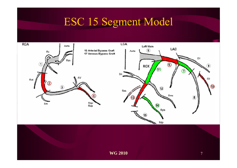# ESC 15 Segment Model

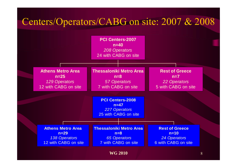### Centers/Operators/CABG on site: 2007 & 2008



**WG 2010** $0 \longrightarrow 8$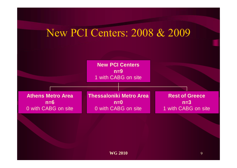### New PCI Centers: 2008 & 2009

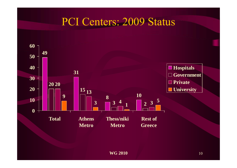### PCI Centers: 2009 Status

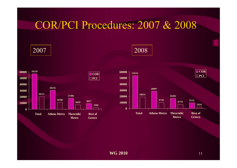# COR/PCI Procedures: 2007 & 2008

#### 



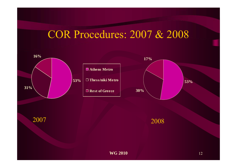# COR Procedures: 2007 & 2008



**WG 2010** $0$  and  $12$  and  $12$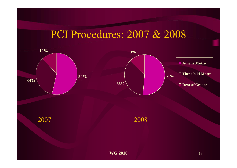## PCI Procedures: 2007 & 2008

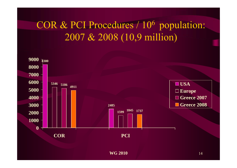# COR & PCI Procedures / 106 population: 2007 & 2008 (10,9 million)

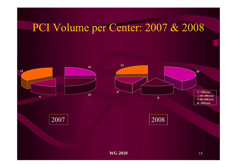# PCI Volume per Center: 2007 & 2008

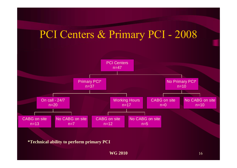# PCI Centers & Primary PCI - 2008



**\*Technical ability to perform primary PCI**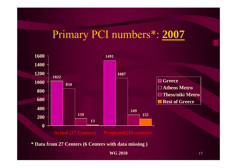### Primary PCI numbers\*: **2007**



**\* Data from 27 Centers (6 Centers with data missing )**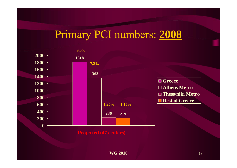## Primary PCI numbers: **2008**

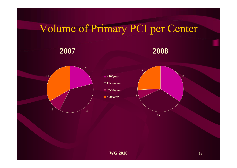# Volume of Primary PCI per Center

#### **2007**

#### **2008**



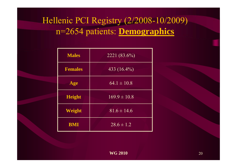#### Hellenic PCI Registry (2/2008-10/2009) n=2654 patients: **Demographics**

| <b>Males</b>   | 2221 (83.6%)     |
|----------------|------------------|
| <b>Females</b> | $433(16.4\%)$    |
| Age            | $64.1 \pm 10.8$  |
| <b>Height</b>  | $169.9 \pm 10.8$ |
| Weight         | $81.6 \pm 14.6$  |
| <b>BMI</b>     | $28.6 \pm 1.2$   |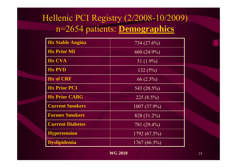### Hellenic PCI Registry (2/2008-10/2009) n=2654 patients: **Demographics**

| <b>Hx Stable Angina</b> | 734 (27.6%)    |
|-------------------------|----------------|
| <b>Hx Prior MI</b>      | 660 (24.9%)    |
| <b>Hx CVA</b>           | 51 $(1.9\%)$   |
| <b>Hx PVD</b>           | 132(5%)        |
| <b>Hx of CRF</b>        | 66 $(2.5\%)$   |
| <b>Hx Prior PCI</b>     | 543 (20.5%)    |
| <b>Hx Prior CABG</b>    | $225(8.5\%)$   |
| <b>Current Smokers</b>  | $1007(37.9\%)$ |
| <b>Former Smokers</b>   | 828 (31.2%)    |
| <b>Current Diabetes</b> | 781 (29.4%)    |
| <b>Hypertension</b>     | $1792(67.5\%)$ |
| <b>Dyslipidemia</b>     | $1767(66.5\%)$ |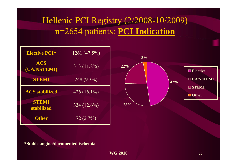### Hellenic PCI Registry (2/2008-10/2009) n=2654 patients: **PCI Indication**

| <b>Elective PCI*</b>       | 1261 (47.5%)   | 3%  |                              |
|----------------------------|----------------|-----|------------------------------|
| <b>ACS</b><br>(UA/NSTEMI)  | 313 $(11.8\%)$ | 22% | $\blacksquare$ Elective      |
| <b>STEMI</b>               | 248 $(9.3\%)$  | 47% | □ UA/NSTEMI                  |
| <b>ACS</b> stabilized      | $426(16.1\%)$  |     | $\Box$ STEMI<br><b>Other</b> |
| <b>STEMI</b><br>stabilized | 334 $(12.6\%)$ | 28% |                              |
| <b>Other</b>               | 72(2.7%)       |     |                              |

**\*Stable angina/documented ischemia**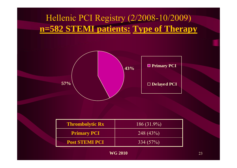### Hellenic PCI Registry (2/2008-10/2009) **n=582 STEMI patients: Type of Therapy**



| <b>Thrombolytic Rx</b> | $186(31.9\%)$ |
|------------------------|---------------|
| <b>Primary PCI</b>     | 248(43%)      |
| <b>Post STEMI PCI</b>  | 334(57%)      |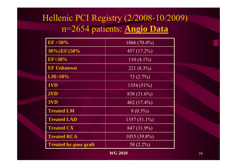### Hellenic PCI Registry (2/2008-10/2009) n=2654 patients: **Angio Data**

| $EF > 50\%$                  | 1866 $(70.4\%)$ |
|------------------------------|-----------------|
| 30%≤EF≤50%                   | 457 (17.2%)     |
| <b>EF&lt;30%</b>             | $110(4.1\%)$    |
| <b>EF Unknown</b>            | $221 (8.3\%)$   |
| $LM > 50\%$                  | 73(2.7%)        |
| 1VD                          | $1354(51\%)$    |
| 2VD                          | 838 (31.6%)     |
| 3VD                          | $462(17.4\%)$   |
| <b>Treated LM</b>            | $9(0.3\%)$      |
| <b>Treated LAD</b>           | $1357(51.1\%)$  |
| <b>Treated CX</b>            | 847 (31.9%)     |
| <b>Treated RCA</b>           | $1055(39.8\%)$  |
| <b>Treated by-pass graft</b> | $58(2.2\%)$     |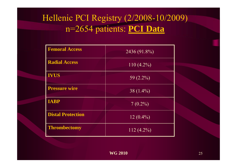### Hellenic PCI Registry (2/2008-10/2009) n=2654 patients: **PCI Data**

| <b>Femoral Access</b>    | 2436 (91.8%) |
|--------------------------|--------------|
| <b>Radial Access</b>     | $110(4.2\%)$ |
| <b>IVUS</b>              | 59 $(2.2\%)$ |
| <b>Pressure wire</b>     | 38 $(1.4\%)$ |
| <b>IABP</b>              | $7(0.2\%)$   |
| <b>Distal Protection</b> | $12(0.4\%)$  |
| <b>Thrombectomy</b>      | $112(4.2\%)$ |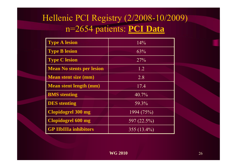### Hellenic PCI Registry (2/2008-10/2009) n=2654 patients: **PCI Data**

| <b>Type A lesion</b>             | 14%                 |
|----------------------------------|---------------------|
| <b>Type B lesion</b>             | 63%                 |
| <b>Type C lesion</b>             | 27%                 |
| <b>Mean No stents per lesion</b> | 1.2                 |
| <b>Mean stent size (mm)</b>      | $2.\overline{8}$    |
| <b>Mean stent length (mm)</b>    | 17.4                |
| <b>BMS</b> stenting              | $\overline{40.7\%}$ |
| <b>DES</b> stenting              | $59.\overline{3\%}$ |
| <b>Clopidogrel 300 mg</b>        | 1994 (75%)          |
| <b>Clopidogrel 600 mg</b>        | 597 (22.5%)         |
| <b>GP IIbIIIa inhibitors</b>     | $355(13.4\%)$       |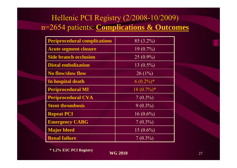#### Hellenic PCI Registry (2/2008-10/2009) n=2654 patients: **Complications & Outcomes**

| <b>Periprocedural complications</b> | $85(3.2\%)$  |
|-------------------------------------|--------------|
| <b>Acute segment closure</b>        | $19(0.7\%)$  |
| <b>Side branch occlusion</b>        | $25(0.9\%)$  |
| <b>Distal embolization</b>          | $13(0.5\%)$  |
| <b>No flow/slow flow</b>            | 26(1%)       |
| In hospital death                   | $6(0.2\%)*$  |
| <b>Periprocedural MI</b>            | $18(0.7\%)*$ |
| <b>Periprocedural CVA</b>           | $7(0.3\%)$   |
| <b>Stent thrombosis</b>             | $9(0.3\%)$   |
| <b>Repeat PCI</b>                   | $16(0.6\%)$  |
| <b>Emergency CABG</b>               | $7(0.3\%)$   |
| <b>Major bleed</b>                  | $15(0.6\%)$  |
| <b>Renal failure</b>                | $7(0.3\%)$   |

**\* 1.2% ESC PCI Registry**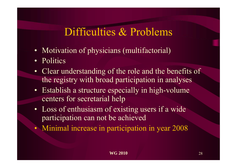# Difficulties & Problems

- Motivation of physicians (multifactorial)
- Politics
- Clear understanding of the role and the benefits of the registry with broad participation in analyses
- Establish a structure especially in high-volume centers for secretarial help
- Loss of enthusiasm of existing users if a wide participation can not be achieved
- Minimal increase in participation in year 2008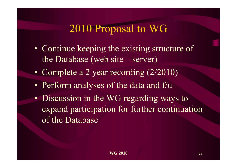# 2010 Proposal to WG

- Continue keeping the existing structure of the Database (web site – server)
- Complete a 2 year recording (2/2010)
- Perform analyses of the data and f/u
- Discussion in the WG regarding ways to expand participation for further continuation of the Database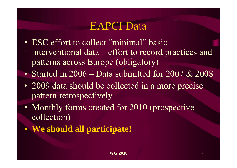## EAPCI Data

- ESC effort to collect "minimal" basic interventional data – effort to record practices and patterns across Europe (obligatory)
- Started in  $2006 -$ Data submitted for 2007 & 2008
- 2009 data should be collected in a more precise pattern retrospectively
- Monthly forms created for 2010 (prospective collection)
- **We should all participate!**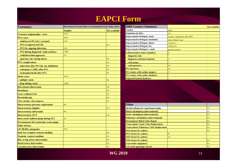#### **EAPCI Form**

| <b>Coronary</b>                            | Please insert 0, if a procedure is not performed in your country, please |                      |
|--------------------------------------------|--------------------------------------------------------------------------|----------------------|
|                                            | <b>Number</b>                                                            | <b>Not available</b> |
| Coronary angiography: cases                | 53531                                                                    |                      |
| <b>PCI:</b> cases                          | 18931                                                                    |                      |
| - multivessel PCI (in 1 session!)          | 6125                                                                     |                      |
| - PCI of unprotected LM                    |                                                                          | NA                   |
| - PCI for ongoing infarction               | 1533                                                                     |                      |
| - PCI during diagnostic study (ad hoc)     | 17998                                                                    |                      |
| - radial/brachial approach                 | 379                                                                      |                      |
| - puncture site closing device             |                                                                          | NA                   |
| <b>PCI: complications</b>                  |                                                                          | <b>NA</b>            |
| - infarction after PCI (by any definition) |                                                                          | NA                   |
| - emergency CABG after PCI                 |                                                                          | NA                   |
| - in-hospital death after PCI              |                                                                          | NA                   |
| <b>Stent: cases</b>                        | 18135                                                                    |                      |
| - multiple stents                          |                                                                          | NA                   |
| - drug-eluting stents                      | 12948                                                                    |                      |
| <b>Directional atherectomy</b>             |                                                                          | NA                   |
| Rotablator                                 |                                                                          | NA                   |
| <b>Laser catheter/wire</b>                 |                                                                          | NA                   |
| <b>Brachytherapy</b>                       |                                                                          | <b>NA</b>            |
| Clot catcher/clot remover                  |                                                                          | <b>NA</b>            |
| <b>Intracoronary pressure registration</b> | 284                                                                      |                      |
| <b>Intracoronary doppler</b>               |                                                                          | NA                   |
| <b>Intracoronary ultrasound</b>            | 965                                                                      |                      |
| <b>Intracoronary OCT</b>                   |                                                                          | NA                   |
| Intra-aortic balloon pump during PCI       | 267                                                                      |                      |
| Percutaneous left ventricular assist pump  | $\overline{0}$                                                           |                      |
| <b>Other devices</b>                       | $\overline{0}$                                                           |                      |
| <b>GP IIb/IIIa antagonist</b>              | 3325                                                                     |                      |
| <b>Ionic low-osmolar contrast medium</b>   |                                                                          | NA                   |
| Nonionic contrast medium                   |                                                                          | NA                   |
| <b>Iliac or leg artery intervention</b>    |                                                                          | NA                   |
| <b>Renal artery intervention</b>           |                                                                          | NA                   |
| <b>Carotid artery intervention</b>         |                                                                          | NA                   |

| <b>2008 Country Summary</b>                 |                                  | <b>Not available</b> |
|---------------------------------------------|----------------------------------|----------------------|
| Country                                     | Greece                           |                      |
| Population (in Mio)                         | 10.9                             |                      |
| <b>Representative/Delegate: name</b>        | Georgios I. Papaioannou, MD, MPH |                      |
| <b>Representative/Delegate: institution</b> | <b>Athens Medical Center</b>     |                      |
| <b>Representative/Delegate: phone</b>       | 2106106715                       |                      |
| <b>Representative/Delegate: fax</b>         | 2106862270                       |                      |
| Representative/Delegate: e-mail             | $g$ papaio $(a)$ otenet.gr       |                      |
| <b>Catheterization centers (number)</b>     | 47                               |                      |
| - diagnostic only:                          | 0                                |                      |
| - diagnostic and interventional:            | 47                               |                      |
| - cath rooms:                               | 71                               |                      |
| - cath operators:                           | 238                              |                      |
| <b>PCI</b> operators:                       | 205                              |                      |
| <b>PCI centers with cardiac surgery:</b>    | 25                               |                      |
| <b>PCI</b> centers with cardiac database:   | 5                                |                      |
| <b>Regional/National database:</b>          | Ÿ                                |                      |

| <b>Other</b>                                     |     |           |
|--------------------------------------------------|-----|-----------|
| Alcohol ablation for septal hypertrophy          |     | <b>NA</b> |
| <b>Mitral valvuloplasty (interventional)</b>     |     | <b>NA</b> |
| <b>Aortic valvuloplasty (interventional)</b>     |     | <b>NA</b> |
| <b>Pulmonary valvuloplasty (interventional)</b>  |     | <b>NA</b> |
| <b>Percutaneous Mitral Valve Repair</b>          |     | <b>NA</b> |
| <b>Transcatheter Aortic Valve Replacement</b>    |     | <b>NA</b> |
| <b>Transcatheter Pulmonary Valve Replacement</b> |     | <b>NA</b> |
| <b>PDA</b> closure by catheter                   |     | <b>NA</b> |
| <b>PFO</b> closure by catheter                   | 80  |           |
| <b>ASD</b> closure by catheter                   | 165 |           |
| <b>VSD closure by catheter</b>                   |     | <b>NA</b> |
| <b>Coarctation angioplasty</b>                   |     | <b>NA</b> |
| Left atrial appendage closure                    |     | <b>NA</b> |